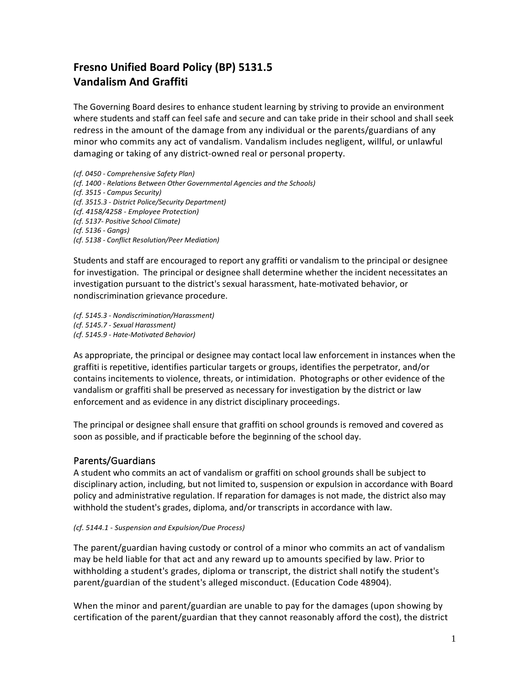## **Fresno Unified Board Policy (BP) 5131.5 Vandalism And Graffiti**

The Governing Board desires to enhance student learning by striving to provide an environment where students and staff can feel safe and secure and can take pride in their school and shall seek redress in the amount of the damage from any individual or the parents/guardians of any minor who commits any act of vandalism. Vandalism includes negligent, willful, or unlawful damaging or taking of any district-owned real or personal property.

*(cf. 0450 - Comprehensive Safety Plan) (cf. 1400 - Relations Between Other Governmental Agencies and the Schools) (cf. 3515 - Campus Security) (cf. 3515.3 - District Police/Security Department) (cf. 4158/4258 - Employee Protection) (cf. 5137- Positive School Climate) (cf. 5136 - Gangs) (cf. 5138 - Conflict Resolution/Peer Mediation)*

Students and staff are encouraged to report any graffiti or vandalism to the principal or designee for investigation. The principal or designee shall determine whether the incident necessitates an investigation pursuant to the district's sexual harassment, hate-motivated behavior, or nondiscrimination grievance procedure.

*(cf. 5145.3 - Nondiscrimination/Harassment) (cf. 5145.7 - Sexual Harassment) (cf. 5145.9 - Hate-Motivated Behavior)*

As appropriate, the principal or designee may contact local law enforcement in instances when the graffiti is repetitive, identifies particular targets or groups, identifies the perpetrator, and/or contains incitements to violence, threats, or intimidation. Photographs or other evidence of the vandalism or graffiti shall be preserved as necessary for investigation by the district or law enforcement and as evidence in any district disciplinary proceedings.

The principal or designee shall ensure that graffiti on school grounds is removed and covered as soon as possible, and if practicable before the beginning of the school day.

## Parents/Guardians

A student who commits an act of vandalism or graffiti on school grounds shall be subject to disciplinary action, including, but not limited to, suspension or expulsion in accordance with Board policy and administrative regulation. If reparation for damages is not made, the district also may withhold the student's grades, diploma, and/or transcripts in accordance with law.

## *(cf. 5144.1 - Suspension and Expulsion/Due Process)*

The parent/guardian having custody or control of a minor who commits an act of vandalism may be held liable for that act and any reward up to amounts specified by law. Prior to withholding a student's grades, diploma or transcript, the district shall notify the student's parent/guardian of the student's alleged misconduct. (Education Code 48904).

When the minor and parent/guardian are unable to pay for the damages (upon showing by certification of the parent/guardian that they cannot reasonably afford the cost), the district